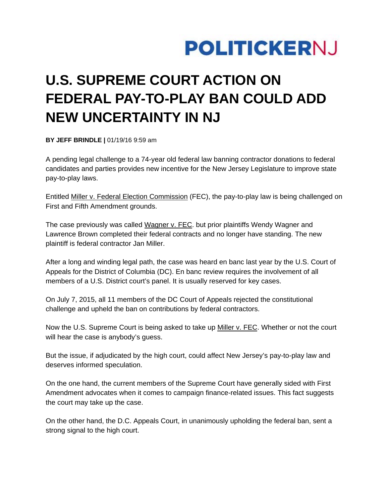

## **U.S. SUPREME COURT ACTION ON FEDERAL PAY-TO-PLAY BAN COULD ADD NEW UNCERTAINTY IN NJ**

**BY JEFF BRINDLE |** 01/19/16 9:59 am

A pending legal challenge to a 74-year old federal law banning contractor donations to federal candidates and parties provides new incentive for the New Jersey Legislature to improve state pay-to-play laws.

Entitled Miller v. Federal Election Commission (FEC), the pay-to-play law is being challenged on First and Fifth Amendment grounds.

The case previously was called Wagner v. FEC. but prior plaintiffs Wendy Wagner and Lawrence Brown completed their federal contracts and no longer have standing. The new plaintiff is federal contractor Jan Miller.

After a long and winding legal path, the case was heard en banc last year by the U.S. Court of Appeals for the District of Columbia (DC). En banc review requires the involvement of all members of a U.S. District court's panel. It is usually reserved for key cases.

On July 7, 2015, all 11 members of the DC Court of Appeals rejected the constitutional challenge and upheld the ban on contributions by federal contractors.

Now the U.S. Supreme Court is being asked to take up Miller v. FEC. Whether or not the court will hear the case is anybody's guess.

But the issue, if adjudicated by the high court, could affect New Jersey's pay-to-play law and deserves informed speculation.

On the one hand, the current members of the Supreme Court have generally sided with First Amendment advocates when it comes to campaign finance-related issues. This fact suggests the court may take up the case.

On the other hand, the D.C. Appeals Court, in unanimously upholding the federal ban, sent a strong signal to the high court.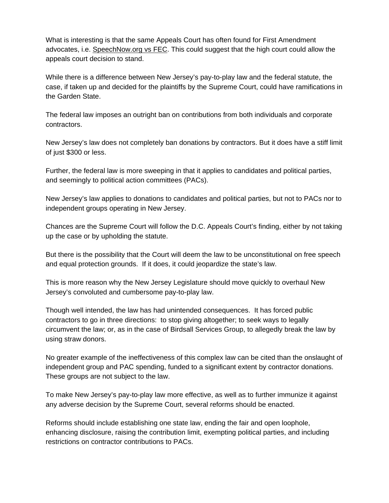What is interesting is that the same Appeals Court has often found for First Amendment advocates, i.e. SpeechNow.org vs FEC. This could suggest that the high court could allow the appeals court decision to stand.

While there is a difference between New Jersey's pay-to-play law and the federal statute, the case, if taken up and decided for the plaintiffs by the Supreme Court, could have ramifications in the Garden State.

The federal law imposes an outright ban on contributions from both individuals and corporate contractors.

New Jersey's law does not completely ban donations by contractors. But it does have a stiff limit of just \$300 or less.

Further, the federal law is more sweeping in that it applies to candidates and political parties, and seemingly to political action committees (PACs).

New Jersey's law applies to donations to candidates and political parties, but not to PACs nor to independent groups operating in New Jersey.

Chances are the Supreme Court will follow the D.C. Appeals Court's finding, either by not taking up the case or by upholding the statute.

But there is the possibility that the Court will deem the law to be unconstitutional on free speech and equal protection grounds. If it does, it could jeopardize the state's law.

This is more reason why the New Jersey Legislature should move quickly to overhaul New Jersey's convoluted and cumbersome pay-to-play law.

Though well intended, the law has had unintended consequences. It has forced public contractors to go in three directions: to stop giving altogether; to seek ways to legally circumvent the law; or, as in the case of Birdsall Services Group, to allegedly break the law by using straw donors.

No greater example of the ineffectiveness of this complex law can be cited than the onslaught of independent group and PAC spending, funded to a significant extent by contractor donations. These groups are not subject to the law.

To make New Jersey's pay-to-play law more effective, as well as to further immunize it against any adverse decision by the Supreme Court, several reforms should be enacted.

Reforms should include establishing one state law, ending the fair and open loophole, enhancing disclosure, raising the contribution limit, exempting political parties, and including restrictions on contractor contributions to PACs.